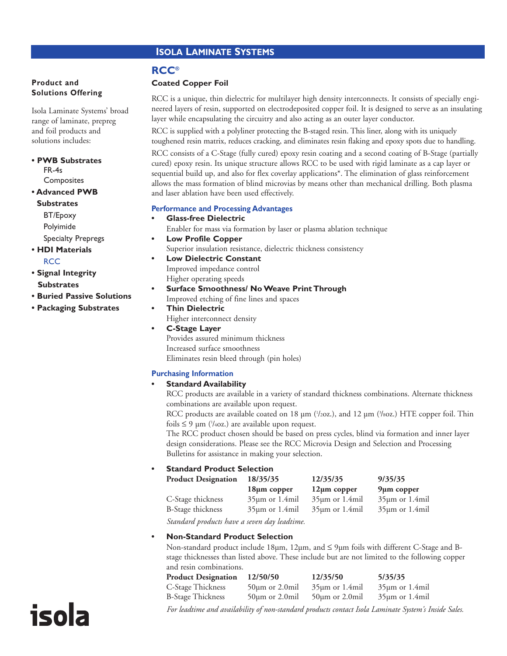# **ISOLA LAMINATE SYSTEMS**

#### **Product and Solutions Offering**

Isola Laminate Systems' broad range of laminate, prepreg and foil products and solutions includes:

- **PWB Substrates** FR-4s Composites
- **Advanced PWB**

**Substrates** BT/Epoxy Polyimide Specialty Prepregs

- **HDI Materials RCC**
- **Signal Integrity Substrates**

isola

- **Buried Passive Solutions**
- **Packaging Substrates**

## **RCC®**

#### **Coated Copper Foil**

RCC is a unique, thin dielectric for multilayer high density interconnects. It consists of specially engineered layers of resin, supported on electrodeposited copper foil. It is designed to serve as an insulating layer while encapsulating the circuitry and also acting as an outer layer conductor.

RCC is supplied with a polyliner protecting the B-staged resin. This liner, along with its uniquely toughened resin matrix, reduces cracking, and eliminates resin flaking and epoxy spots due to handling.

RCC consists of a C-Stage (fully cured) epoxy resin coating and a second coating of B-Stage (partially cured) epoxy resin. Its unique structure allows RCC to be used with rigid laminate as a cap layer or sequential build up, and also for flex coverlay applications\*. The elimination of glass reinforcement allows the mass formation of blind microvias by means other than mechanical drilling. Both plasma and laser ablation have been used effectively.

#### **Performance and Processing Advantages**

- **Glass-free Dielectric** Enabler for mass via formation by laser or plasma ablation technique **• Low Profile Copper** Superior insulation resistance, dielectric thickness consistency
	- **Low Dielectric Constant** Improved impedance control Higher operating speeds
	- **Surface Smoothness/ No Weave Print Through**
		- Improved etching of fine lines and spaces
	- **Thin Dielectric** Higher interconnect density
	- **C-Stage Layer** Provides assured minimum thickness Increased surface smoothness Eliminates resin bleed through (pin holes)

### **Purchasing Information**

### **• Standard Availability**

RCC products are available in a variety of standard thickness combinations. Alternate thickness combinations are available upon request.

RCC products are available coated on 18  $\mu$ m ('/20z.), and 12  $\mu$ m ('/s0z.) HTE copper foil. Thin foils  $\leq 9 \text{ }\mu\text{m}$  ('/40z.) are available upon request.

The RCC product chosen should be based on press cycles, blind via formation and inner layer design considerations. Please see the RCC Microvia Design and Selection and Processing Bulletins for assistance in making your selection.

### **• Standard Product Selection**

| <b>Product Designation</b> | 18/35/35            | 12/35/35            | 9/35/35             |
|----------------------------|---------------------|---------------------|---------------------|
|                            | $18µ$ m copper      | $12\mu m$ copper    | $9\mu$ m copper     |
| C-Stage thickness          | $35\mu m$ or 1.4mil | $35\mu m$ or 1.4mil | $35\mu$ m or 1.4mil |
| B-Stage thickness          | $35\mu m$ or 1.4mil | $35\mu m$ or 1.4mil | $35\mu$ m or 1.4mil |

*Standard products have a seven day leadtime.*

### **• Non-Standard Product Selection**

Non-standard product include 18µm, 12µm, and ≤ 9µm foils with different C-Stage and Bstage thicknesses than listed above. These include but are not limited to the following copper and resin combinations.

| <b>Product Designation</b> | 12/50/50              | 12/35/50              | 5/35/35                                                                                              |
|----------------------------|-----------------------|-----------------------|------------------------------------------------------------------------------------------------------|
| C-Stage Thickness          | $50 \mu m$ or 2.0 mil | $35\mu$ m or 1.4mil   | $35\mu$ m or 1.4mil                                                                                  |
| <b>B-Stage Thickness</b>   | $50 \mu m$ or 2.0 mil | $50 \mu m$ or 2.0 mil | $35\mu$ m or 1.4mil                                                                                  |
|                            |                       |                       | For leadtime and availability of non-standard products contact Isola Laminate System's Inside Sales. |